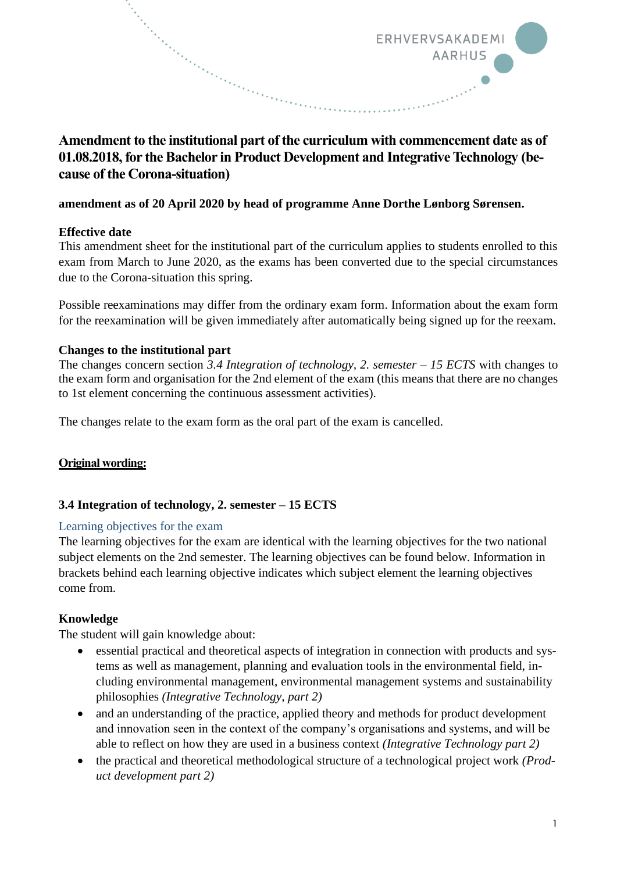

# Amendment to the institutional part of the curriculum with commencement date as of **01.08.2018, for the Bachelor in Product Development and Integrative Technology (because of the Corona-situation)**

### **amendment as of 20 April 2020 by head of programme Anne Dorthe Lønborg Sørensen.**

## **Effective date**

This amendment sheet for the institutional part of the curriculum applies to students enrolled to this exam from March to June 2020, as the exams has been converted due to the special circumstances due to the Corona-situation this spring.

Possible reexaminations may differ from the ordinary exam form. Information about the exam form for the reexamination will be given immediately after automatically being signed up for the reexam.

## **Changes to the institutional part**

The changes concern section *3.4 Integration of technology, 2. semester – 15 ECTS* with changes to the exam form and organisation for the 2nd element of the exam (this means that there are no changes to 1st element concerning the continuous assessment activities).

The changes relate to the exam form as the oral part of the exam is cancelled.

## **Original wording:**

## **3.4 Integration of technology, 2. semester – 15 ECTS**

### Learning objectives for the exam

The learning objectives for the exam are identical with the learning objectives for the two national subject elements on the 2nd semester. The learning objectives can be found below. Information in brackets behind each learning objective indicates which subject element the learning objectives come from.

### **Knowledge**

The student will gain knowledge about:

- essential practical and theoretical aspects of integration in connection with products and systems as well as management, planning and evaluation tools in the environmental field, including environmental management, environmental management systems and sustainability philosophies *(Integrative Technology, part 2)*
- and an understanding of the practice, applied theory and methods for product development and innovation seen in the context of the company's organisations and systems, and will be able to reflect on how they are used in a business context *(Integrative Technology part 2)*
- the practical and theoretical methodological structure of a technological project work *(Product development part 2)*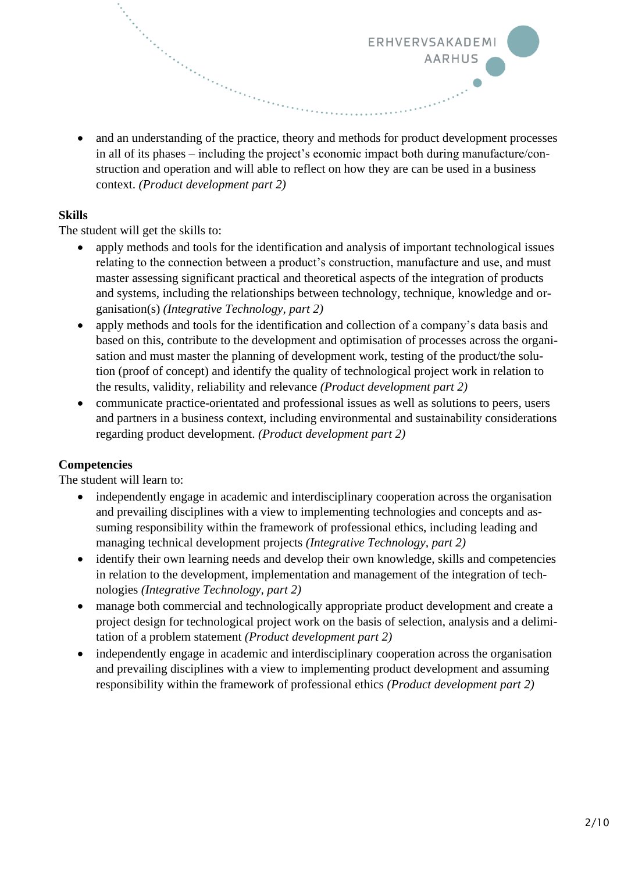• and an understanding of the practice, theory and methods for product development processes in all of its phases – including the project's economic impact both during manufacture/construction and operation and will able to reflect on how they are can be used in a business context. *(Product development part 2)* 

ERHVERVSAKADEMI

**AARHUS** 

### **Skills**

The student will get the skills to:

an Santan Bandara da Bandara da Bandara da Bandara da Bandara da Bandara da Bandara da Bandara da Bandara da B<br>Bandara da Bandara da Bandara da Bandara da Bandara da Bandara da Bandara da Bandara da Bandara da Bandara da

- apply methods and tools for the identification and analysis of important technological issues relating to the connection between a product's construction, manufacture and use, and must master assessing significant practical and theoretical aspects of the integration of products and systems, including the relationships between technology, technique, knowledge and organisation(s) *(Integrative Technology, part 2)*
- apply methods and tools for the identification and collection of a company's data basis and based on this, contribute to the development and optimisation of processes across the organisation and must master the planning of development work, testing of the product/the solution (proof of concept) and identify the quality of technological project work in relation to the results, validity, reliability and relevance *(Product development part 2)*
- communicate practice-orientated and professional issues as well as solutions to peers, users and partners in a business context, including environmental and sustainability considerations regarding product development. *(Product development part 2)*

### **Competencies**

The student will learn to:

- independently engage in academic and interdisciplinary cooperation across the organisation and prevailing disciplines with a view to implementing technologies and concepts and assuming responsibility within the framework of professional ethics, including leading and managing technical development projects *(Integrative Technology, part 2)*
- identify their own learning needs and develop their own knowledge, skills and competencies in relation to the development, implementation and management of the integration of technologies *(Integrative Technology, part 2)*
- manage both commercial and technologically appropriate product development and create a project design for technological project work on the basis of selection, analysis and a delimitation of a problem statement *(Product development part 2)*
- independently engage in academic and interdisciplinary cooperation across the organisation and prevailing disciplines with a view to implementing product development and assuming responsibility within the framework of professional ethics *(Product development part 2)*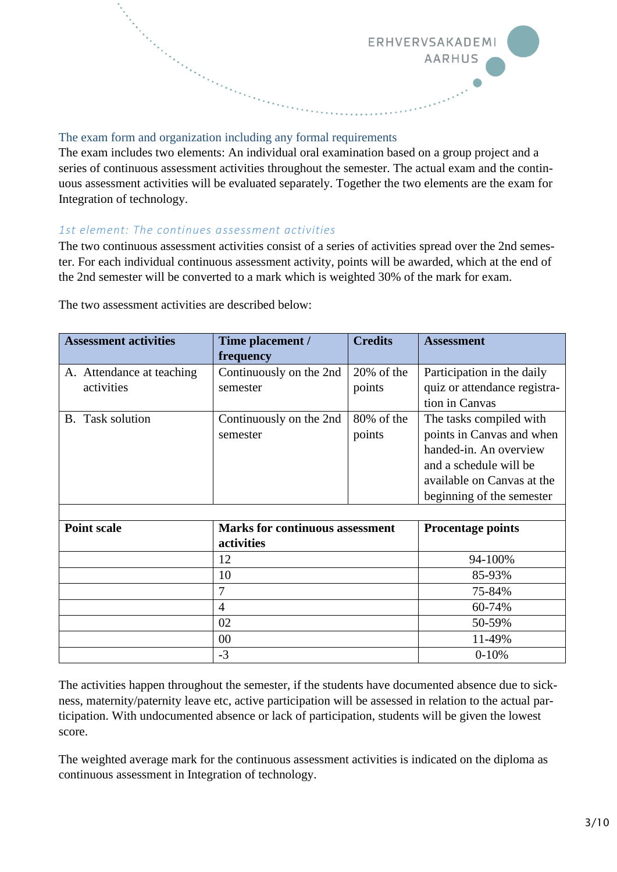

## The exam form and organization including any formal requirements

The exam includes two elements: An individual oral examination based on a group project and a series of continuous assessment activities throughout the semester. The actual exam and the continuous assessment activities will be evaluated separately. Together the two elements are the exam for Integration of technology.

#### *1st element: The continues assessment activities*

The two continuous assessment activities consist of a series of activities spread over the 2nd semester. For each individual continuous assessment activity, points will be awarded, which at the end of the 2nd semester will be converted to a mark which is weighted 30% of the mark for exam.

| <b>Assessment activities</b> | Time placement /                       | <b>Credits</b> | <b>Assessment</b>            |
|------------------------------|----------------------------------------|----------------|------------------------------|
|                              | frequency                              |                |                              |
| A. Attendance at teaching    | Continuously on the 2nd                | $20\%$ of the  | Participation in the daily   |
| activities                   | semester                               | points         | quiz or attendance registra- |
|                              |                                        |                | tion in Canvas               |
| <b>B.</b> Task solution      | Continuously on the 2nd                | 80% of the     | The tasks compiled with      |
|                              | semester                               | points         | points in Canvas and when    |
|                              |                                        |                | handed-in. An overview       |
|                              |                                        |                | and a schedule will be       |
|                              |                                        |                | available on Canvas at the   |
|                              |                                        |                | beginning of the semester    |
|                              |                                        |                |                              |
| <b>Point scale</b>           | <b>Marks for continuous assessment</b> |                | <b>Procentage points</b>     |
|                              | activities                             |                |                              |
|                              | 12<br>10                               |                | 94-100%                      |
|                              |                                        |                | 85-93%                       |
|                              | 7                                      |                | 75-84%                       |
|                              | 4                                      |                | 60-74%                       |
|                              | 02                                     |                | 50-59%                       |
|                              | 00                                     |                | 11-49%                       |
|                              | $-3$                                   |                | $0-10%$                      |

The two assessment activities are described below:

The activities happen throughout the semester, if the students have documented absence due to sickness, maternity/paternity leave etc, active participation will be assessed in relation to the actual participation. With undocumented absence or lack of participation, students will be given the lowest score.

The weighted average mark for the continuous assessment activities is indicated on the diploma as continuous assessment in Integration of technology.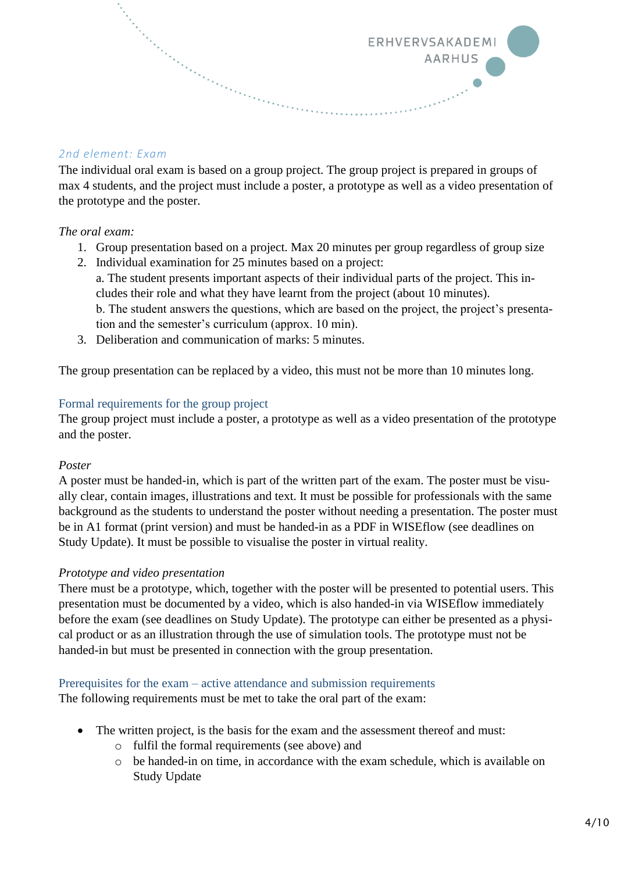## *2nd element: Exam*

The individual oral exam is based on a group project. The group project is prepared in groups of max 4 students, and the project must include a poster, a prototype as well as a video presentation of the prototype and the poster.

ERHVERVSAKADEMI

**AARHUS** 

### *The oral exam:*

- 1. Group presentation based on a project. Max 20 minutes per group regardless of group size
- 2. Individual examination for 25 minutes based on a project: a. The student presents important aspects of their individual parts of the project. This includes their role and what they have learnt from the project (about 10 minutes). b. The student answers the questions, which are based on the project, the project's presentation and the semester's curriculum (approx. 10 min).
- 3. Deliberation and communication of marks: 5 minutes.

The group presentation can be replaced by a video, this must not be more than 10 minutes long.

### Formal requirements for the group project

The group project must include a poster, a prototype as well as a video presentation of the prototype and the poster.

### *Poster*

A poster must be handed-in, which is part of the written part of the exam. The poster must be visually clear, contain images, illustrations and text. It must be possible for professionals with the same background as the students to understand the poster without needing a presentation. The poster must be in A1 format (print version) and must be handed-in as a PDF in WISEflow (see deadlines on Study Update). It must be possible to visualise the poster in virtual reality.

### *Prototype and video presentation*

There must be a prototype, which, together with the poster will be presented to potential users. This presentation must be documented by a video, which is also handed-in via WISEflow immediately before the exam (see deadlines on Study Update). The prototype can either be presented as a physical product or as an illustration through the use of simulation tools. The prototype must not be handed-in but must be presented in connection with the group presentation.

#### Prerequisites for the exam – active attendance and submission requirements

The following requirements must be met to take the oral part of the exam:

- The written project, is the basis for the exam and the assessment thereof and must:
	- o fulfil the formal requirements (see above) and
	- o be handed-in on time, in accordance with the exam schedule, which is available on Study Update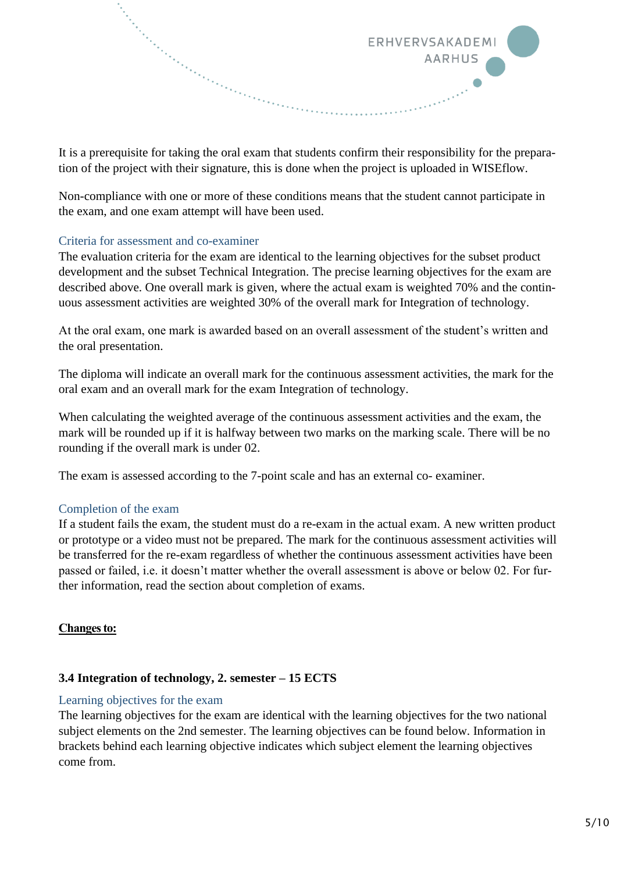

It is a prerequisite for taking the oral exam that students confirm their responsibility for the preparation of the project with their signature, this is done when the project is uploaded in WISEflow.

Non-compliance with one or more of these conditions means that the student cannot participate in the exam, and one exam attempt will have been used.

#### Criteria for assessment and co-examiner

The evaluation criteria for the exam are identical to the learning objectives for the subset product development and the subset Technical Integration. The precise learning objectives for the exam are described above. One overall mark is given, where the actual exam is weighted 70% and the continuous assessment activities are weighted 30% of the overall mark for Integration of technology.

At the oral exam, one mark is awarded based on an overall assessment of the student's written and the oral presentation.

The diploma will indicate an overall mark for the continuous assessment activities, the mark for the oral exam and an overall mark for the exam Integration of technology.

When calculating the weighted average of the continuous assessment activities and the exam, the mark will be rounded up if it is halfway between two marks on the marking scale. There will be no rounding if the overall mark is under 02.

The exam is assessed according to the 7-point scale and has an external co- examiner.

### Completion of the exam

If a student fails the exam, the student must do a re-exam in the actual exam. A new written product or prototype or a video must not be prepared. The mark for the continuous assessment activities will be transferred for the re-exam regardless of whether the continuous assessment activities have been passed or failed, i.e. it doesn't matter whether the overall assessment is above or below 02. For further information, read the section about completion of exams.

#### **Changes to:**

### **3.4 Integration of technology, 2. semester – 15 ECTS**

#### Learning objectives for the exam

The learning objectives for the exam are identical with the learning objectives for the two national subject elements on the 2nd semester. The learning objectives can be found below. Information in brackets behind each learning objective indicates which subject element the learning objectives come from.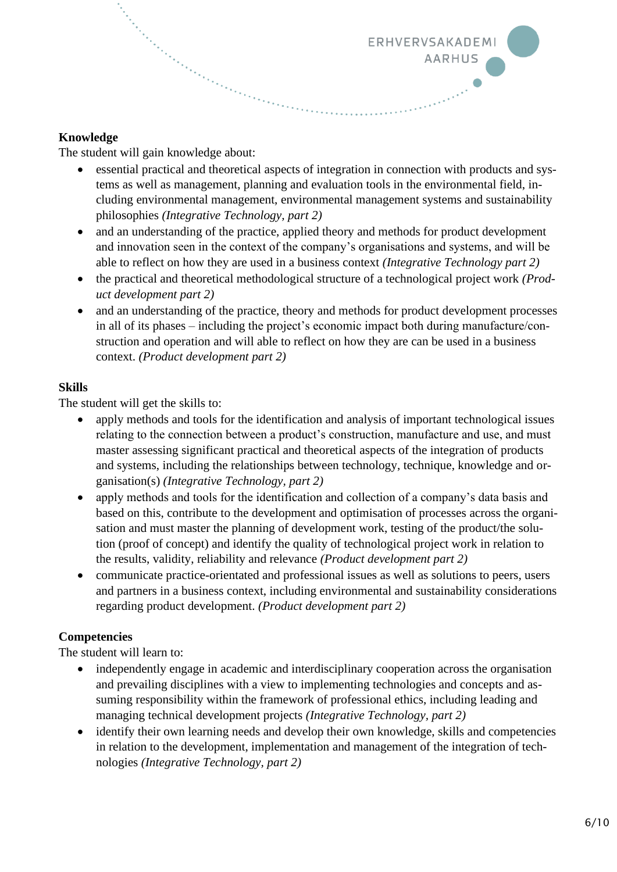

## **Knowledge**

The student will gain knowledge about:

- essential practical and theoretical aspects of integration in connection with products and systems as well as management, planning and evaluation tools in the environmental field, including environmental management, environmental management systems and sustainability philosophies *(Integrative Technology, part 2)*
- and an understanding of the practice, applied theory and methods for product development and innovation seen in the context of the company's organisations and systems, and will be able to reflect on how they are used in a business context *(Integrative Technology part 2)*
- the practical and theoretical methodological structure of a technological project work *(Product development part 2)*
- and an understanding of the practice, theory and methods for product development processes in all of its phases – including the project's economic impact both during manufacture/construction and operation and will able to reflect on how they are can be used in a business context. *(Product development part 2)*

## **Skills**

The student will get the skills to:

- apply methods and tools for the identification and analysis of important technological issues relating to the connection between a product's construction, manufacture and use, and must master assessing significant practical and theoretical aspects of the integration of products and systems, including the relationships between technology, technique, knowledge and organisation(s) *(Integrative Technology, part 2)*
- apply methods and tools for the identification and collection of a company's data basis and based on this, contribute to the development and optimisation of processes across the organisation and must master the planning of development work, testing of the product/the solution (proof of concept) and identify the quality of technological project work in relation to the results, validity, reliability and relevance *(Product development part 2)*
- communicate practice-orientated and professional issues as well as solutions to peers, users and partners in a business context, including environmental and sustainability considerations regarding product development. *(Product development part 2)*

## **Competencies**

The student will learn to:

- independently engage in academic and interdisciplinary cooperation across the organisation and prevailing disciplines with a view to implementing technologies and concepts and assuming responsibility within the framework of professional ethics, including leading and managing technical development projects *(Integrative Technology, part 2)*
- identify their own learning needs and develop their own knowledge, skills and competencies in relation to the development, implementation and management of the integration of technologies *(Integrative Technology, part 2)*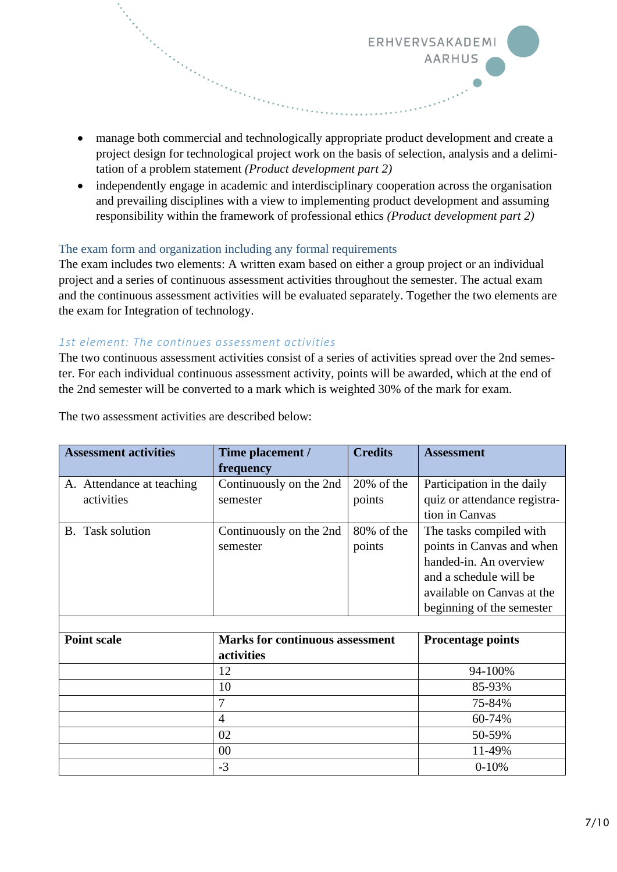• manage both commercial and technologically appropriate product development and create a project design for technological project work on the basis of selection, analysis and a delimitation of a problem statement *(Product development part 2)* 

ERHVERVSAKADEM

**AARHUS** 

• independently engage in academic and interdisciplinary cooperation across the organisation and prevailing disciplines with a view to implementing product development and assuming responsibility within the framework of professional ethics *(Product development part 2)* 

### The exam form and organization including any formal requirements

The exam includes two elements: A written exam based on either a group project or an individual project and a series of continuous assessment activities throughout the semester. The actual exam and the continuous assessment activities will be evaluated separately. Together the two elements are the exam for Integration of technology.

### *1st element: The continues assessment activities*

The two continuous assessment activities consist of a series of activities spread over the 2nd semester. For each individual continuous assessment activity, points will be awarded, which at the end of the 2nd semester will be converted to a mark which is weighted 30% of the mark for exam.

| <b>Assessment activities</b> | Time placement /                       | <b>Credits</b> | <b>Assessment</b>            |
|------------------------------|----------------------------------------|----------------|------------------------------|
|                              | frequency                              |                |                              |
| A. Attendance at teaching    | Continuously on the 2nd                | $20\%$ of the  | Participation in the daily   |
| activities                   | semester                               | points         | quiz or attendance registra- |
|                              |                                        |                | tion in Canvas               |
| <b>B.</b> Task solution      | Continuously on the 2nd                | $80\%$ of the  | The tasks compiled with      |
|                              | semester                               | points         | points in Canvas and when    |
|                              |                                        |                | handed-in. An overview       |
|                              |                                        |                | and a schedule will be       |
|                              |                                        |                | available on Canvas at the   |
|                              |                                        |                | beginning of the semester    |
|                              |                                        |                |                              |
| <b>Point scale</b>           | <b>Marks for continuous assessment</b> |                | <b>Procentage points</b>     |
|                              | activities                             |                |                              |
|                              | 12                                     |                | 94-100%                      |
|                              | 10                                     |                | 85-93%                       |
|                              | 7                                      |                | 75-84%                       |
|                              | $\overline{4}$                         |                | 60-74%                       |
|                              | 02                                     |                | 50-59%                       |

00 11-49% -3 0-10%

The two assessment activities are described below: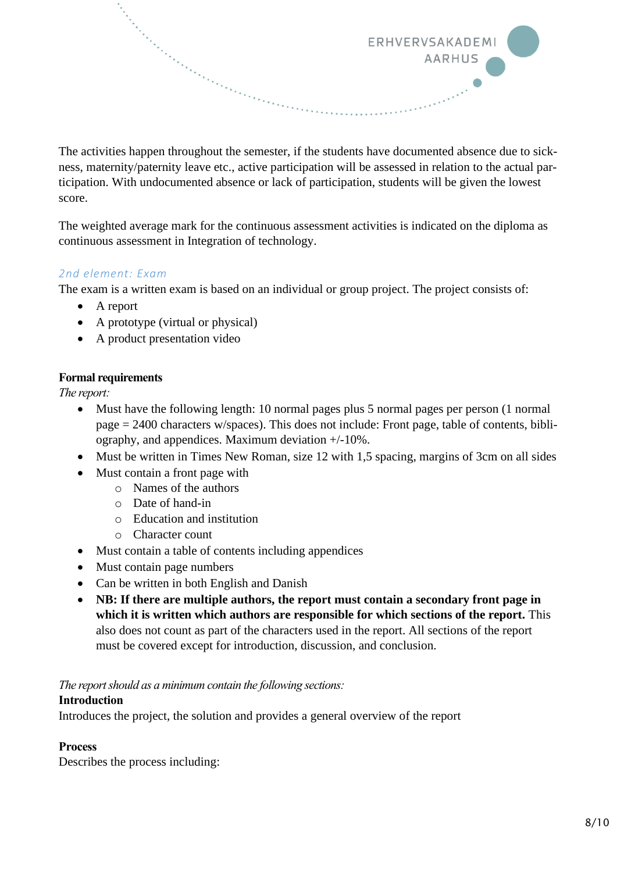The activities happen throughout the semester, if the students have documented absence due to sickness, maternity/paternity leave etc., active participation will be assessed in relation to the actual participation. With undocumented absence or lack of participation, students will be given the lowest score.

ERHVERVSAKADEMI

**AARHUS** 

The weighted average mark for the continuous assessment activities is indicated on the diploma as continuous assessment in Integration of technology.

## *2nd element: Exam*

The exam is a written exam is based on an individual or group project. The project consists of:

- A report
- A prototype (virtual or physical)

an San Tangang Bandara Pangang Bandara Pangang Bandara Pangang Bandara Pangang Bandara Pangang Bandara Pangang<br>Pangang Pangang Pangang Bandara Pangang Bandara Pangang Bandara Pangang Pangang Pangang Pangang Pangang Pangan<br>

• A product presentation video

## **Formal requirements**

*The report:*

- Must have the following length: 10 normal pages plus 5 normal pages per person (1 normal page = 2400 characters w/spaces). This does not include: Front page, table of contents, bibliography, and appendices. Maximum deviation +/-10%.
- Must be written in Times New Roman, size 12 with 1,5 spacing, margins of 3cm on all sides
- Must contain a front page with
	- o Names of the authors
	- o Date of hand-in
	- o Education and institution
	- o Character count
- Must contain a table of contents including appendices
- Must contain page numbers
- Can be written in both English and Danish
- **NB: If there are multiple authors, the report must contain a secondary front page in**  which it is written which authors are responsible for which sections of the report. This also does not count as part of the characters used in the report. All sections of the report must be covered except for introduction, discussion, and conclusion.

*The report should as a minimum contain the following sections:*

### **Introduction**

Introduces the project, the solution and provides a general overview of the report

### **Process**

Describes the process including: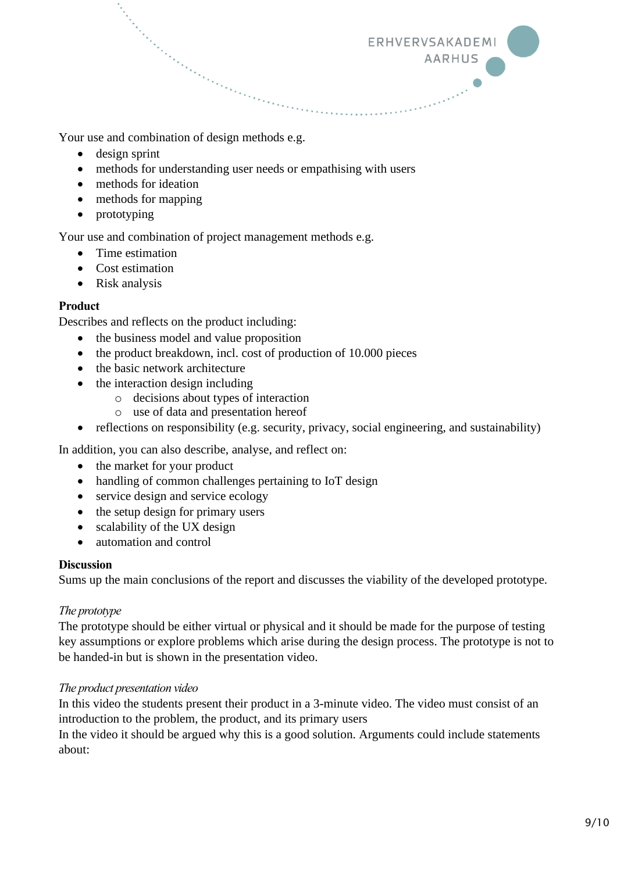Your use and combination of design methods e.g.

- design sprint
- methods for understanding user needs or empathising with users
- methods for ideation
- methods for mapping
- prototyping

Your use and combination of project management methods e.g.

- Time estimation
- Cost estimation
- Risk analysis

#### **Product**

Describes and reflects on the product including:

- the business model and value proposition
- the product breakdown, incl. cost of production of 10.000 pieces
- the basic network architecture
- the interaction design including
	- o decisions about types of interaction
		- o use of data and presentation hereof
- reflections on responsibility (e.g. security, privacy, social engineering, and sustainability)

ERHVERVSAKADEMI

**AARHUS** 

In addition, you can also describe, analyse, and reflect on:

- the market for your product
- handling of common challenges pertaining to IoT design
- service design and service ecology
- the setup design for primary users
- scalability of the UX design
- automation and control

#### **Discussion**

Sums up the main conclusions of the report and discusses the viability of the developed prototype.

### *The prototype*

The prototype should be either virtual or physical and it should be made for the purpose of testing key assumptions or explore problems which arise during the design process. The prototype is not to be handed-in but is shown in the presentation video.

### *The product presentation video*

In this video the students present their product in a 3-minute video. The video must consist of an introduction to the problem, the product, and its primary users

In the video it should be argued why this is a good solution. Arguments could include statements about: